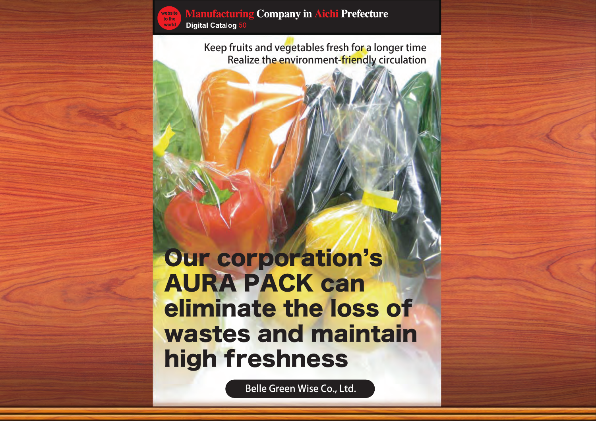

**Manufacturing Company in Aichi Prefecture Digital Catalog 50** 

Belle Green Wise Co., Ltd.



Keep fruits and vegetables fresh for a longer time Realize the environment-friendly circulation

Our corporation's AURA PACK can eliminate the loss of wastes and maintain high freshness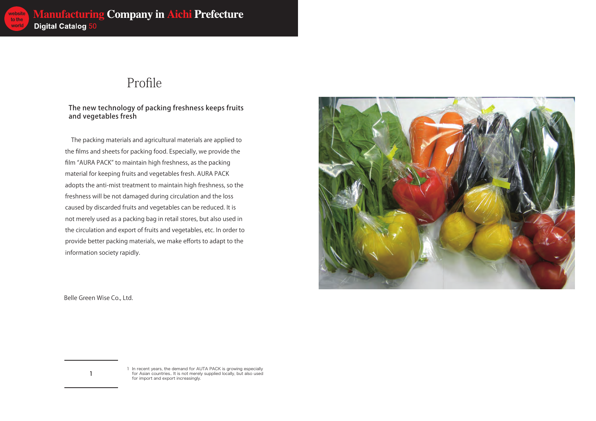

#### The new technology of packing freshness keeps fruits and vegetables fresh

1 In recent years, the demand for AUTA PACK is growing especially for Asian countries.. It is not merely supplied locally, but also used for import and export increasingly.

 $\mathbf{1}$ 

Belle Green Wise Co., Ltd.

#### Profile

 The packing materials and agricultural materials are applied to the films and sheets for packing food. Especially, we provide the film "AURA PACK" to maintain high freshness, as the packing material for keeping fruits and vegetables fresh. AURA PACK adopts the anti-mist treatment to maintain high freshness, so the freshness will be not damaged during circulation and the loss caused by discarded fruits and vegetables can be reduced. It is not merely used as a packing bag in retail stores, but also used in the circulation and export of fruits and vegetables, etc. In order to provide better packing materials, we make efforts to adapt to the information society rapidly.

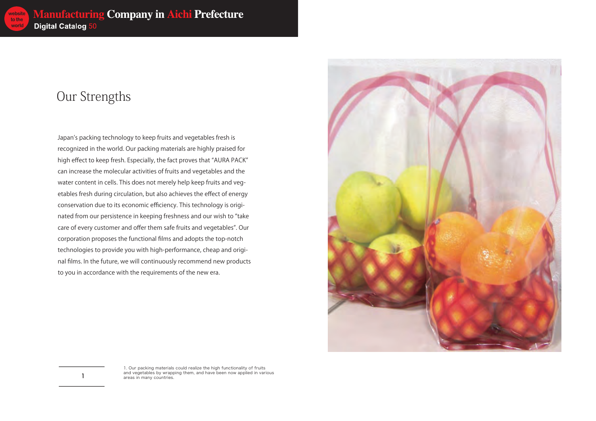

1. Our packing materials could realize the high functionality of fruits and vegetables by wrapping them, and have been now applied in various areas in many countries.

 $\mathbf{1}$ 

## Our Strengths

Japan's packing technology to keep fruits and vegetables fresh is recognized in the world. Our packing materials are highly praised for high effect to keep fresh. Especially, the fact proves that "AURA PACK" can increase the molecular activities of fruits and vegetables and the water content in cells. This does not merely help keep fruits and vegetables fresh during circulation, but also achieves the effect of energy conservation due to its economic efficiency. This technology is originated from our persistence in keeping freshness and our wish to "take care of every customer and offer them safe fruits and vegetables". Our corporation proposes the functional films and adopts the top-notch technologies to provide you with high-performance, cheap and original films. In the future, we will continuously recommend new products to you in accordance with the requirements of the new era.

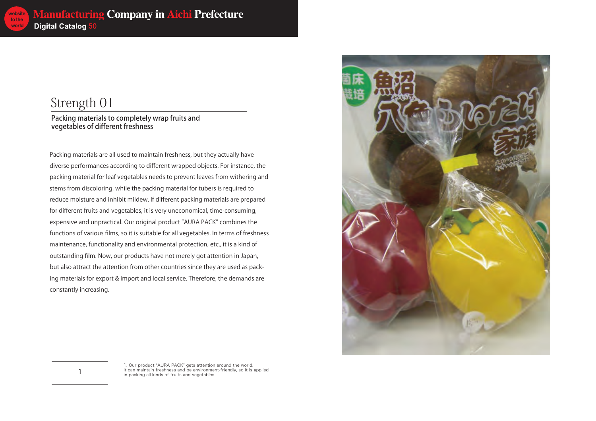

Packing materials to completely wrap fruits and vegetables of different freshness

> 1. Our product "AURA PACK" gets attention around the world. It can maintain freshness and be environment-friendly, so it is applied in packing all kinds of fruits and vegetables.

 $\mathbf{1}$ 

#### Strength 01

Packing materials are all used to maintain freshness, but they actually have diverse performances according to different wrapped objects. For instance, the packing material for leaf vegetables needs to prevent leaves from withering and stems from discoloring, while the packing material for tubers is required to reduce moisture and inhibit mildew. If different packing materials are prepared for different fruits and vegetables, it is very uneconomical, time-consuming, expensive and unpractical. Our original product "AURA PACK" combines the functions of various films, so it is suitable for all vegetables. In terms of freshness maintenance, functionality and environmental protection, etc., it is a kind of outstanding film. Now, our products have not merely got attention in Japan, but also attract the attention from other countries since they are used as packing materials for export & import and local service. Therefore, the demands are constantly increasing.

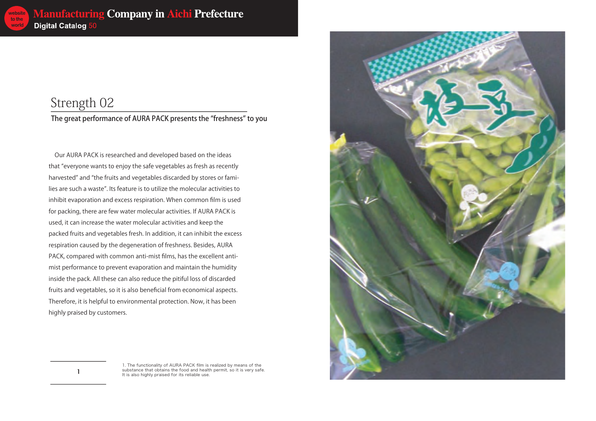

The great performance of AURA PACK presents the "freshness" to you

 $\overline{\phantom{a}}$ 

### Strength 02

 Our AURA PACK is researched and developed based on the ideas that "everyone wants to enjoy the safe vegetables as fresh as recently harvested" and "the fruits and vegetables discarded by stores or families are such a waste". Its feature is to utilize the molecular activities to inhibit evaporation and excess respiration. When common film is used for packing, there are few water molecular activities. If AURA PACK is used, it can increase the water molecular activities and keep the packed fruits and vegetables fresh. In addition, it can inhibit the excess respiration caused by the degeneration of freshness. Besides, AURA PACK, compared with common anti-mist films, has the excellent antimist performance to prevent evaporation and maintain the humidity inside the pack. All these can also reduce the pitiful loss of discarded fruits and vegetables, so it is also beneficial from economical aspects. Therefore, it is helpful to environmental protection. Now, it has been highly praised by customers.



<sup>1.</sup> The functionality of AURA PACK film is realized by means of the substance that obtains the food and health permit, so it is very safe. It is also highly praised for its reliable use.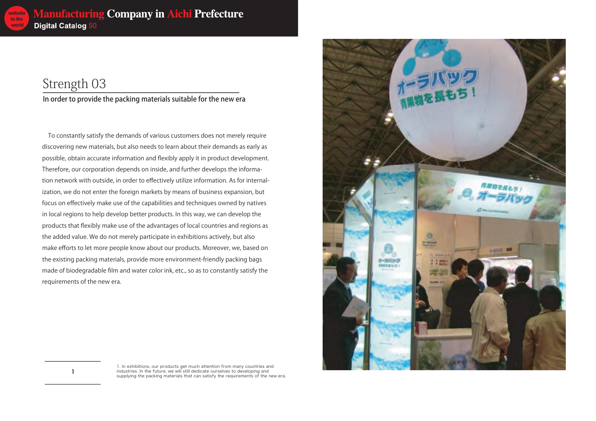In order to provide the packing materials suitable for the new era

1. In exhibitions, our products get much attention from many countries and industries. In the future, we will still dedicate ourselves to developing and supplying the packing materials that can satisfy the requirements of the new era.

 $\overline{\mathbf{1}}$ 

# Strength 03

 To constantly satisfy the demands of various customers does not merely require discovering new materials, but also needs to learn about their demands as early as possible, obtain accurate information and flexibly apply it in product development. Therefore, our corporation depends on inside, and further develops the information network with outside, in order to effectively utilize information. As for internalization, we do not enter the foreign markets by means of business expansion, but focus on effectively make use of the capabilities and techniques owned by natives in local regions to help develop better products. In this way, we can develop the products that flexibly make use of the advantages of local countries and regions as the added value. We do not merely participate in exhibitions actively, but also make efforts to let more people know about our products. Moreover, we, based on the existing packing materials, provide more environment-friendly packing bags made of biodegradable film and water color ink, etc., so as to constantly satisfy the requirements of the new era.